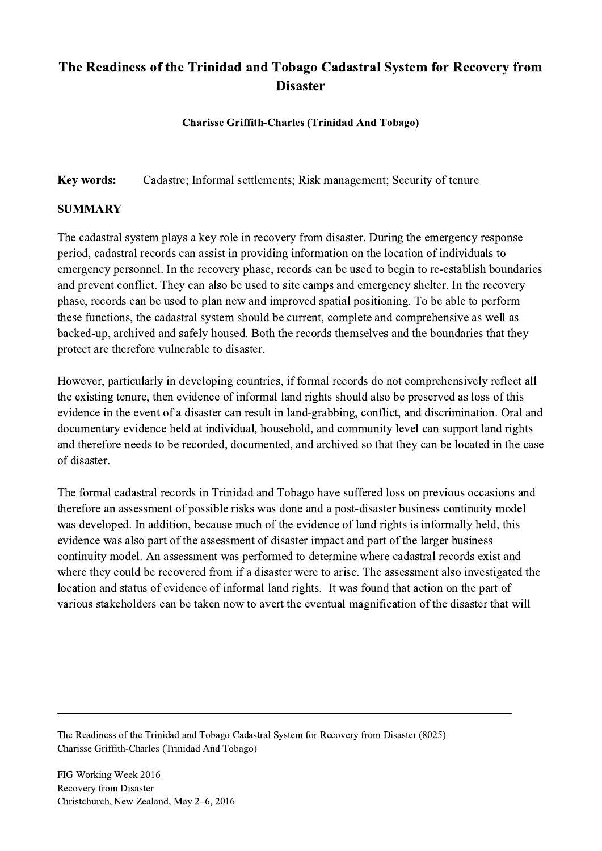## The Readiness of the Trinidad and Tobago Cadastral System for Recovery from **Disaster**

Charisse Griffith-Charles (Trinidad And Tobago)

Key words: Cadastre; Informal settlements; Risk management; Security of tenure

## SUMMARY

The cadastral system plays a key role in recovery from disaster. During the emergency response period, cadastral records can assist in providing information on the location of individuals to emergency personnel. In the recovery phase, records can be used to begin to re-establish boundaries and prevent conflict. They can also be used to site camps and emergency shelter. In the recovery phase, records can be used to plan new and improved spatial positioning. To be able to perform these functions, the cadastral system should be current, complete and comprehensive as well as backed-up, archived and safely housed. Both the records themselves and the boundaries that they protect are therefore vulnerable to disaster.

However, particularly in developing countries, if formal records do not comprehensively reflect all the existing tenure, then evidence of informal land rights should also be preserved as loss of this evidence in the event of a disaster can result in land-grabbing, conflict, and discrimination. Oral and documentary evidence held at individual, household, and community level can support land rights and therefore needs to be recorded, documented, and archived so that they can be located in the case of disaster.

The formal cadastral records in Trinidad and Tobago have suffered loss on previous occasions and therefore an assessment of possible risks was done and a post-disaster business continuity model was developed. In addition, because much of the evidence of land rights is informally held, this evidence was also part of the assessment of disaster impact and part of the larger business continuity model. An assessment was performed to determine where cadastral records exist and where they could be recovered from if a disaster were to arise. The assessment also investigated the location and status of evidence of informal land rights. It was found that action on the part of various stakeholders can be taken now to avert the eventual magnification of the disaster that will

The Readiness of the Trinidad and Tobago Cadastral System for Recovery from Disaster (8025) Charisse Griffith-Charles (Trinidad And Tobago)

 $\mathcal{L}_\mathcal{L} = \{ \mathcal{L}_\mathcal{L} = \{ \mathcal{L}_\mathcal{L} = \{ \mathcal{L}_\mathcal{L} = \{ \mathcal{L}_\mathcal{L} = \{ \mathcal{L}_\mathcal{L} = \{ \mathcal{L}_\mathcal{L} = \{ \mathcal{L}_\mathcal{L} = \{ \mathcal{L}_\mathcal{L} = \{ \mathcal{L}_\mathcal{L} = \{ \mathcal{L}_\mathcal{L} = \{ \mathcal{L}_\mathcal{L} = \{ \mathcal{L}_\mathcal{L} = \{ \mathcal{L}_\mathcal{L} = \{ \mathcal{L}_\mathcal{$ 

FIG Working Week 2016 Recovery from Disaster Christchurch, New Zealand, May 2–6, 2016